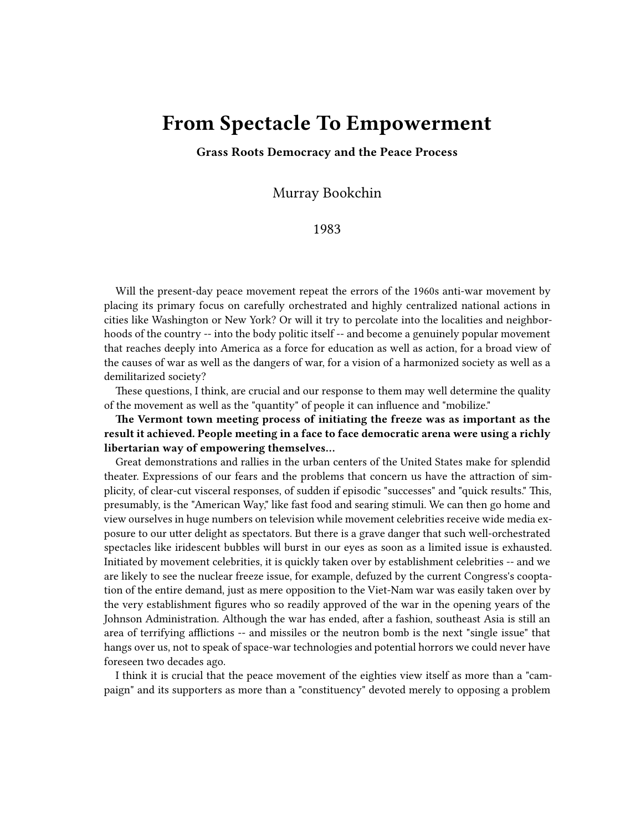## **From Spectacle To Empowerment**

**Grass Roots Democracy and the Peace Process**

Murray Bookchin

## 1983

Will the present-day peace movement repeat the errors of the 1960s anti-war movement by placing its primary focus on carefully orchestrated and highly centralized national actions in cities like Washington or New York? Or will it try to percolate into the localities and neighborhoods of the country -- into the body politic itself -- and become a genuinely popular movement that reaches deeply into America as a force for education as well as action, for a broad view of the causes of war as well as the dangers of war, for a vision of a harmonized society as well as a demilitarized society?

These questions, I think, are crucial and our response to them may well determine the quality of the movement as well as the "quantity" of people it can influence and "mobilize."

**The Vermont town meeting process of initiating the freeze was as important as the result it achieved. People meeting in a face to face democratic arena were using a richly libertarian way of empowering themselves…**

Great demonstrations and rallies in the urban centers of the United States make for splendid theater. Expressions of our fears and the problems that concern us have the attraction of simplicity, of clear-cut visceral responses, of sudden if episodic "successes" and "quick results." This, presumably, is the "American Way," like fast food and searing stimuli. We can then go home and view ourselves in huge numbers on television while movement celebrities receive wide media exposure to our utter delight as spectators. But there is a grave danger that such well-orchestrated spectacles like iridescent bubbles will burst in our eyes as soon as a limited issue is exhausted. Initiated by movement celebrities, it is quickly taken over by establishment celebrities -- and we are likely to see the nuclear freeze issue, for example, defuzed by the current Congress's cooptation of the entire demand, just as mere opposition to the Viet-Nam war was easily taken over by the very establishment figures who so readily approved of the war in the opening years of the Johnson Administration. Although the war has ended, after a fashion, southeast Asia is still an area of terrifying afflictions -- and missiles or the neutron bomb is the next "single issue" that hangs over us, not to speak of space-war technologies and potential horrors we could never have foreseen two decades ago.

I think it is crucial that the peace movement of the eighties view itself as more than a "campaign" and its supporters as more than a "constituency" devoted merely to opposing a problem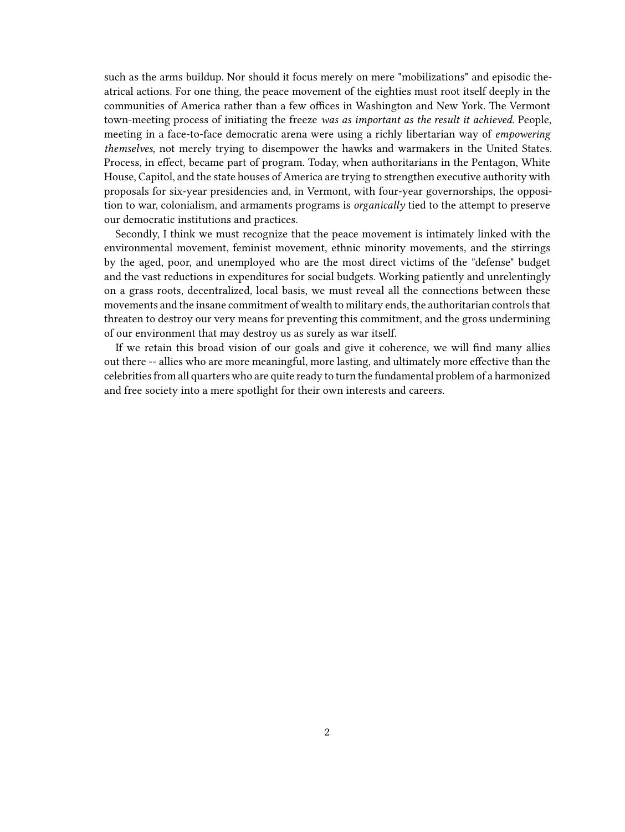such as the arms buildup. Nor should it focus merely on mere "mobilizations" and episodic theatrical actions. For one thing, the peace movement of the eighties must root itself deeply in the communities of America rather than a few offices in Washington and New York. The Vermont town-meeting process of initiating the freeze *was as important as the result it achieved.* People, meeting in a face-to-face democratic arena were using a richly libertarian way of *empowering themselves,* not merely trying to disempower the hawks and warmakers in the United States. Process, in effect, became part of program. Today, when authoritarians in the Pentagon, White House, Capitol, and the state houses of America are trying to strengthen executive authority with proposals for six-year presidencies and, in Vermont, with four-year governorships, the opposition to war, colonialism, and armaments programs is *organically* tied to the attempt to preserve our democratic institutions and practices.

Secondly, I think we must recognize that the peace movement is intimately linked with the environmental movement, feminist movement, ethnic minority movements, and the stirrings by the aged, poor, and unemployed who are the most direct victims of the "defense" budget and the vast reductions in expenditures for social budgets. Working patiently and unrelentingly on a grass roots, decentralized, local basis, we must reveal all the connections between these movements and the insane commitment of wealth to military ends, the authoritarian controls that threaten to destroy our very means for preventing this commitment, and the gross undermining of our environment that may destroy us as surely as war itself.

If we retain this broad vision of our goals and give it coherence, we will find many allies out there -- allies who are more meaningful, more lasting, and ultimately more effective than the celebrities from all quarters who are quite ready to turn the fundamental problem of a harmonized and free society into a mere spotlight for their own interests and careers.